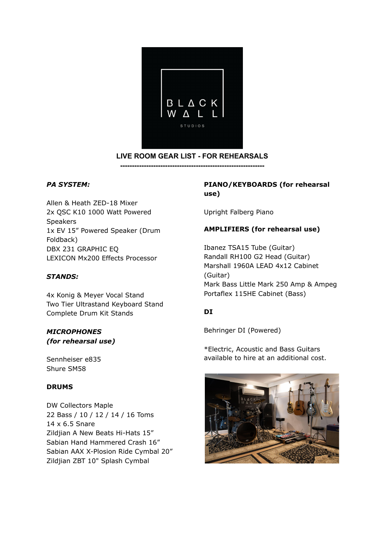

## **LIVE ROOM GEAR LIST - FOR REHEARSALS**

**-------------------------------------------------------------**

## *PA SYSTEM:*

Allen & Heath ZED-18 Mixer 2x QSC K10 1000 Watt Powered Speakers 1x EV 15" Powered Speaker (Drum Foldback) DBX 231 GRAPHIC EQ LEXICON Mx200 Effects Processor

## *STANDS:*

4x Konig & Meyer Vocal Stand Two Tier Ultrastand Keyboard Stand Complete Drum Kit Stands

## *MICROPHONES (for rehearsal use)*

Sennheiser e835 Shure SM58

## **DRUMS**

DW Collectors Maple 22 Bass / 10 / 12 / 14 / 16 Toms 14 x 6.5 Snare Zildjian A New Beats Hi-Hats 15" Sabian Hand Hammered Crash 16" Sabian AAX X-Plosion Ride Cymbal 20" Zildjian ZBT 10" Splash Cymbal

## **PIANO/KEYBOARDS (for rehearsal use)**

Upright Falberg Piano

## **AMPLIFIERS (for rehearsal use)**

Ibanez TSA15 Tube (Guitar) Randall RH100 G2 Head (Guitar) Marshall 1960A LEAD 4x12 Cabinet (Guitar) Mark Bass Little Mark 250 Amp & Ampeg Portaflex 115HE Cabinet (Bass)

## **DI**

Behringer DI (Powered)

\*Electric, Acoustic and Bass Guitars available to hire at an additional cost.

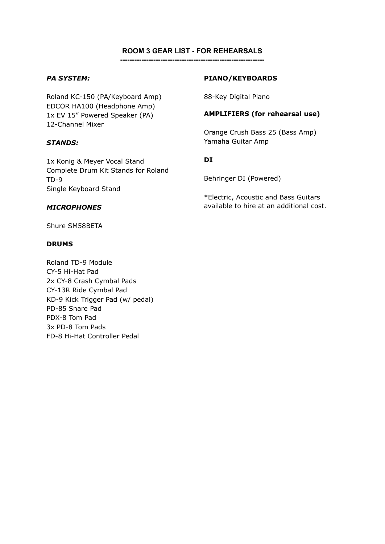#### **ROOM 3 GEAR LIST - FOR REHEARSALS -------------------------------------------------------------**

# *PA SYSTEM:*

Roland KC-150 (PA/Keyboard Amp) EDCOR HA100 (Headphone Amp) 1x EV 15" Powered Speaker (PA) 12-Channel Mixer

## *STANDS:*

1x Konig & Meyer Vocal Stand Complete Drum Kit Stands for Roland TD-9 Single Keyboard Stand

### *MICROPHONES*

Shure SM58BETA

### **DRUMS**

Roland TD-9 Module CY-5 Hi-Hat Pad 2x CY-8 Crash Cymbal Pads CY-13R Ride Cymbal Pad KD-9 Kick Trigger Pad (w/ pedal) PD-85 Snare Pad PDX-8 Tom Pad 3x PD-8 Tom Pads FD-8 Hi-Hat Controller Pedal

### **PIANO/KEYBOARDS**

88-Key Digital Piano

## **AMPLIFIERS (for rehearsal use)**

Orange Crush Bass 25 (Bass Amp) Yamaha Guitar Amp

## **DI**

Behringer DI (Powered)

\*Electric, Acoustic and Bass Guitars available to hire at an additional cost.